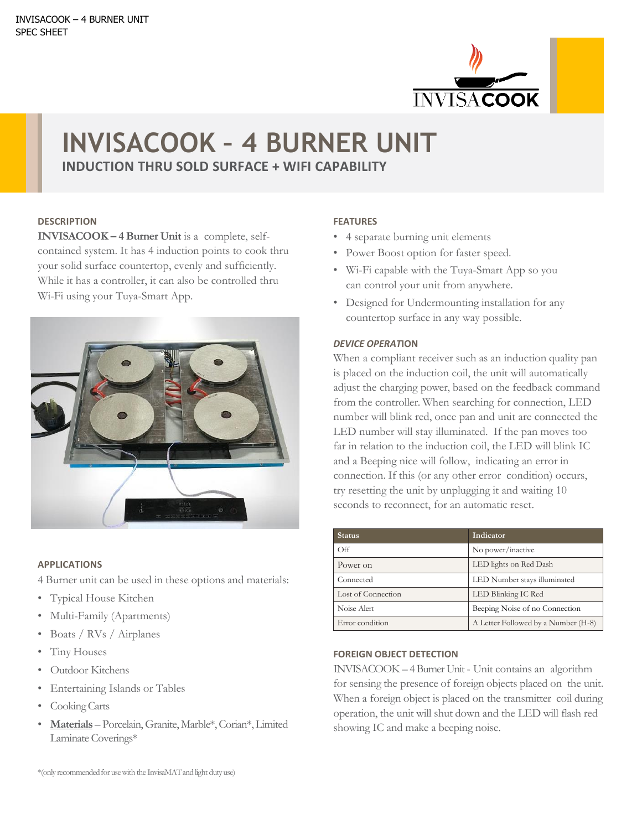

# **INVISACOOK – 4 BURNER UNIT**

**INDUCTION THRU SOLD SURFACE + WIFI CAPABILITY** 

## **DESCRIPTION**

**INVISACOOK – 4 Burner Unit** is a complete, selfcontained system. It has 4 induction points to cook thru your solid surface countertop, evenly and sufficiently. While it has a controller, it can also be controlled thru Wi-Fi using your Tuya-Smart App.



#### **APPLICATIONS**

4 Burner unit can be used in these options and materials:

- Typical House Kitchen
- Multi-Family (Apartments)
- Boats / RVs / Airplanes
- Tiny Houses
- Outdoor Kitchens
- Entertaining Islands or Tables
- Cooking Carts
- **Materials** Porcelain, Granite, Marble\*, Corian\*, Limited Laminate Coverings\*

## **FEATURES**

- 4 separate burning unit elements
- Power Boost option for faster speed.
- Wi-Fi capable with the Tuya-Smart App so you can control your unit from anywhere.
- Designed for Undermounting installation for any countertop surface in any way possible.

## *DEVICE OPERAT***ION**

When a compliant receiver such as an induction quality pan is placed on the induction coil, the unit will automatically adjust the charging power, based on the feedback command from the controller. When searching for connection, LED number will blink red, once pan and unit are connected the LED number will stay illuminated. If the pan moves too far in relation to the induction coil, the LED will blink IC and a Beeping nice will follow, indicating an error in connection. If this (or any other error condition) occurs, try resetting the unit by unplugging it and waiting 10 seconds to reconnect, for an automatic reset.

| Status.            | Indicator                           |
|--------------------|-------------------------------------|
| Off                | No power/inactive                   |
| Power on           | LED lights on Red Dash              |
| Connected          | LED Number stays illuminated        |
| Lost of Connection | LED Blinking IC Red                 |
| Noise Alert        | Beeping Noise of no Connection      |
| Error condition    | A Letter Followed by a Number (H-8) |

## **FOREIGN OBJECT DETECTION**

INVISACOOK – 4 Burner Unit - Unit contains an algorithm for sensing the presence of foreign objects placed on the unit. When a foreign object is placed on the transmitter coil during operation, the unit will shut down and the LED will flash red showing IC and make a beeping noise.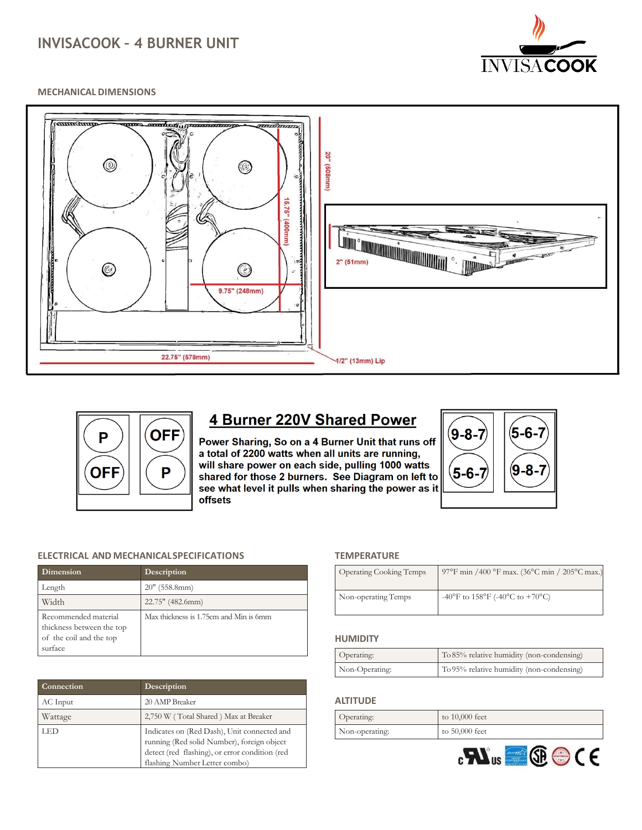# **INVISACOOK – 4 BURNER UNIT**



#### **MECHANICAL DIMENSIONS**





**4 Burner 220V Shared Power** 

Power Sharing, So on a 4 Burner Unit that runs off a total of 2200 watts when all units are running, will share power on each side, pulling 1000 watts shared for those 2 burners. See Diagram on left to see what level it pulls when sharing the power as it offsets



#### **ELECTRICAL AND MECHANICALSPECIFICATIONS**

| <b>Dimension</b>                                                                        | Description                            |
|-----------------------------------------------------------------------------------------|----------------------------------------|
| Length                                                                                  | $20''$ (558.8mm)                       |
| Width                                                                                   | 22.75" (482.6mm)                       |
| Recommended material<br>thickness between the top<br>of the coil and the top<br>surface | Max thickness is 1.75cm and Min is 6mm |

| Connection | Description                                                                                                                                                                  |
|------------|------------------------------------------------------------------------------------------------------------------------------------------------------------------------------|
| AC Input   | 20 AMP Breaker                                                                                                                                                               |
| Wattage    | 2,750 W (Total Shared) Max at Breaker                                                                                                                                        |
| LED        | Indicates on (Red Dash), Unit connected and<br>running (Red solid Number), foreign object<br>detect (red flashing), or error condition (red<br>flashing Number Letter combo) |

#### **TEMPERATURE**

| <b>Operating Cooking Temps</b> | 97°F min /400 °F max. (36°C min / 205°C max.) |
|--------------------------------|-----------------------------------------------|
| Non-operating Temps            | -40°F to $158^{\circ}$ F (-40°C to +70°C)     |

#### **HUMIDITY**

| Operating:     | To 85% relative humidity (non-condensing) |
|----------------|-------------------------------------------|
| Non-Operating: | To 95% relative humidity (non-condensing) |

#### **ALTITUDE**

| Operating:     | to 10,000 feet   |
|----------------|------------------|
| Non-operating: | to $50,000$ feet |